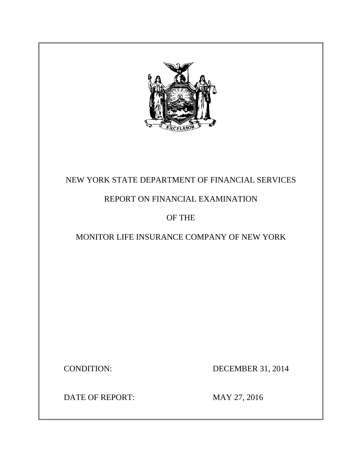

# NEW YORK STATE DEPARTMENT OF FINANCIAL SERVICES

# REPORT ON FINANCIAL EXAMINATION

# OF THE

# MONITOR LIFE INSURANCE COMPANY OF NEW YORK

**CONDITION:** 

DECEMBER 31, 2014

DATE OF REPORT: MAY 27, 2016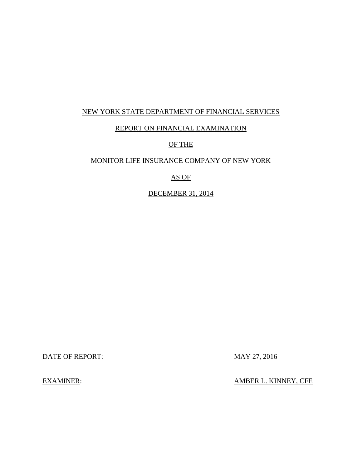## NEW YORK STATE DEPARTMENT OF FINANCIAL SERVICES

## REPORT ON FINANCIAL EXAMINATION

## OF THE

## MONITOR LIFE INSURANCE COMPANY OF NEW YORK

## AS OF

## DECEMBER 31, 2014

DATE OF REPORT: MAY 27, 2016

**EXAMINER:** 

AMBER L. KINNEY, CFE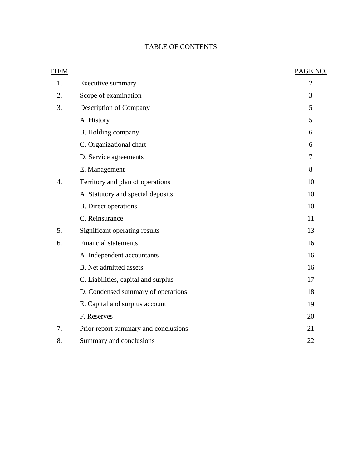## TABLE OF CONTENTS

| <b>ITEM</b>      |                                      | PAGE NO.       |
|------------------|--------------------------------------|----------------|
| 1.               | Executive summary                    | $\overline{2}$ |
| 2.               | Scope of examination                 | 3              |
| 3.               | Description of Company               | 5              |
|                  | A. History                           | 5              |
|                  | B. Holding company                   | 6              |
|                  | C. Organizational chart              | 6              |
|                  | D. Service agreements                | $\overline{7}$ |
|                  | E. Management                        | 8              |
| $\overline{4}$ . | Territory and plan of operations     | 10             |
|                  | A. Statutory and special deposits    | 10             |
|                  | <b>B.</b> Direct operations          | 10             |
|                  | C. Reinsurance                       | 11             |
| 5.               | Significant operating results        | 13             |
| 6.               | <b>Financial statements</b>          | 16             |
|                  | A. Independent accountants           | 16             |
|                  | <b>B.</b> Net admitted assets        | 16             |
|                  | C. Liabilities, capital and surplus  | 17             |
|                  | D. Condensed summary of operations   | 18             |
|                  | E. Capital and surplus account       | 19             |
|                  | F. Reserves                          | 20             |
| 7.               | Prior report summary and conclusions | 21             |
| 8.               | Summary and conclusions              | 22             |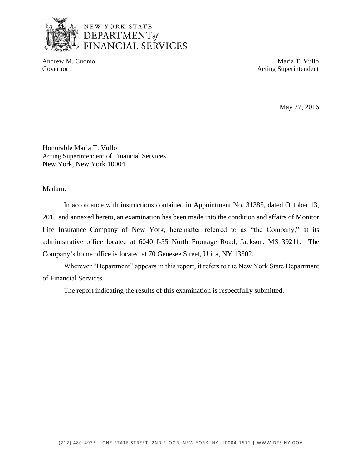

## NEW YORK STATE DEPARTMENT<sub>of</sub> **FINANCIAL SERVICES**

Andrew M. Cuomo **Maria T. Vullo** Maria T. Vullo Governor **Acting Superintendent** Acting Superintendent

May 27, 2016

Honorable Maria T. Vullo Acting Superintendent of Financial Services New York, New York 10004

Madam:

 2015 and annexed hereto, an examination has been made into the condition and affairs of Monitor Life Insurance Company of New York, hereinafter referred to as "the Company," at its administrative office located at 6040 I-55 North Frontage Road, Jackson, MS 39211. The In accordance with instructions contained in Appointment No. 31385, dated October 13, Company's home office is located at 70 Genesee Street, Utica, NY 13502.

 Wherever "Department" appears in this report, it refers to the New York State Department of Financial Services.

The report indicating the results of this examination is respectfully submitted.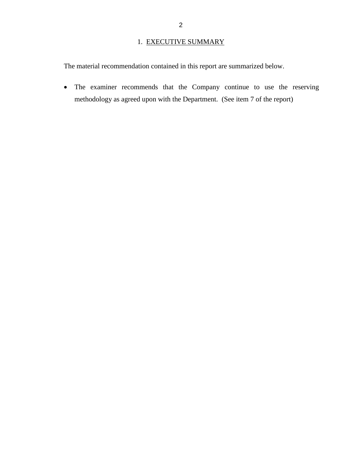## 1. EXECUTIVE SUMMARY

<span id="page-4-0"></span>The material recommendation contained in this report are summarized below.

 The examiner recommends that the Company continue to use the reserving methodology as agreed upon with the Department. (See item 7 of the report)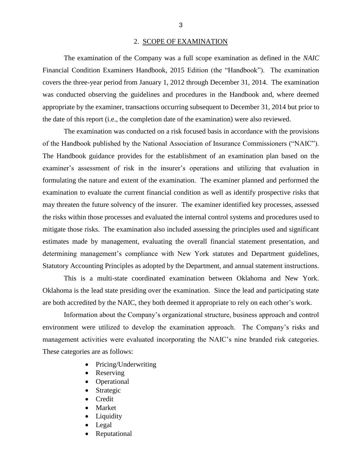#### 2. SCOPE OF EXAMINATION

<span id="page-5-0"></span> Financial Condition Examiners Handbook, 2015 Edition (the "Handbook"). The examination covers the three-year period from January 1, 2012 through December 31, 2014. The examination was conducted observing the guidelines and procedures in the Handbook and, where deemed appropriate by the examiner, transactions occurring subsequent to December 31, 2014 but prior to The examination of the Company was a full scope examination as defined in the *NAIC*  the date of this report (i.e., the completion date of the examination) were also reviewed.

 examiner's assessment of risk in the insurer's operations and utilizing that evaluation in formulating the nature and extent of the examination. The examiner planned and performed the examination to evaluate the current financial condition as well as identify prospective risks that may threaten the future solvency of the insurer. The examiner identified key processes, assessed mitigate those risks. The examination also included assessing the principles used and significant estimates made by management, evaluating the overall financial statement presentation, and Statutory Accounting Principles as adopted by the Department, and annual statement instructions. The examination was conducted on a risk focused basis in accordance with the provisions of the Handbook published by the National Association of Insurance Commissioners ("NAIC"). The Handbook guidance provides for the establishment of an examination plan based on the the risks within those processes and evaluated the internal control systems and procedures used to determining management's compliance with New York statutes and Department guidelines,

 This is a multi-state coordinated examination between Oklahoma and New York. Oklahoma is the lead state presiding over the examination. Since the lead and participating state are both accredited by the NAIC, they both deemed it appropriate to rely on each other's work.

 environment were utilized to develop the examination approach. The Company's risks and management activities were evaluated incorporating the NAIC's nine branded risk categories. These categories are as follows: Information about the Company's organizational structure, business approach and control

- Pricing/Underwriting
- Reserving
- Operational
- Strategic
- Credit
- Market
- Liquidity
- Legal
- Reputational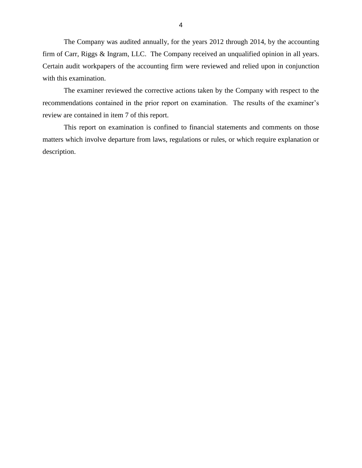The Company was audited annually, for the years 2012 through 2014, by the accounting firm of Carr, Riggs & Ingram, LLC. The Company received an unqualified opinion in all years. Certain audit workpapers of the accounting firm were reviewed and relied upon in conjunction with this examination.

 recommendations contained in the prior report on examination. The results of the examiner's The examiner reviewed the corrective actions taken by the Company with respect to the review are contained in item 7 of this report.

 matters which involve departure from laws, regulations or rules, or which require explanation or This report on examination is confined to financial statements and comments on those description.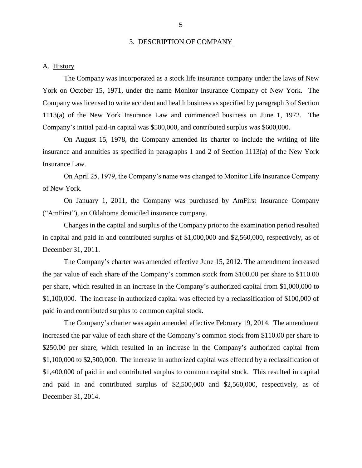#### 3. DESCRIPTION OF COMPANY

<span id="page-7-0"></span>A. History

 York on October 15, 1971, under the name Monitor Insurance Company of New York. The Company was licensed to write accident and health business as specified by paragraph 3 of Section 1113(a) of the New York Insurance Law and commenced business on June 1, 1972. The The Company was incorporated as a stock life insurance company under the laws of New Company's initial paid-in capital was \$500,000, and contributed surplus was \$600,000.

 On August 15, 1978, the Company amended its charter to include the writing of life Insurance Law. insurance and annuities as specified in paragraphs 1 and 2 of Section 1113(a) of the New York

 On April 25, 1979, the Company's name was changed to Monitor Life Insurance Company of New York.

 On January 1, 2011, the Company was purchased by AmFirst Insurance Company ("AmFirst"), an Oklahoma domiciled insurance company.

 Changes in the capital and surplus of the Company prior to the examination period resulted in capital and paid in and contributed surplus of \$1,000,000 and \$2,560,000, respectively, as of December 31, 2011.

 The Company's charter was amended effective June 15, 2012. The amendment increased the par value of each share of the Company's common stock from \$100.00 per share to \$110.00 \$1,100,000. The increase in authorized capital was effected by a reclassification of \$100,000 of per share, which resulted in an increase in the Company's authorized capital from \$1,000,000 to paid in and contributed surplus to common capital stock.

 The Company's charter was again amended effective February 19, 2014. The amendment increased the par value of each share of the Company's common stock from \$110.00 per share to \$1,100,000 to \$2,500,000. The increase in authorized capital was effected by a reclassification of \$1,400,000 of paid in and contributed surplus to common capital stock. This resulted in capital and paid in and contributed surplus of \$2,500,000 and \$2,560,000, respectively, as of December 31, 2014. \$250.00 per share, which resulted in an increase in the Company's authorized capital from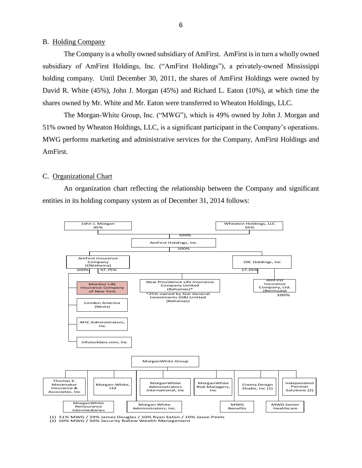#### <span id="page-8-0"></span>B. Holding Company

 subsidiary of AmFirst Holdings, Inc. ("AmFirst Holdings"), a privately-owned Mississippi holding company. Until December 30, 2011, the shares of AmFirst Holdings were owned by David R. White (45%), John J. Morgan (45%) and Richard L. Eaton (10%), at which time the The Company is a wholly owned subsidiary of AmFirst. AmFirst is in turn a wholly owned shares owned by Mr. White and Mr. Eaton were transferred to Wheaton Holdings, LLC.

 The Morgan-White Group, Inc. ("MWG"), which is 49% owned by John J. Morgan and 51% owned by Wheaton Holdings, LLC, is a significant participant in the Company's operations. MWG performs marketing and administrative services for the Company, AmFirst Holdings and AmFirst.

#### C. Organizational Chart

 An organization chart reflecting the relationship between the Company and significant entities in its holding company system as of December 31, 2014 follows:



(1) 51% MWG / 29% James Douglas / 10% Ryan Eaton / 10% Jason Peets (2) 50% MWG / 50% Security Ballew Wealth Management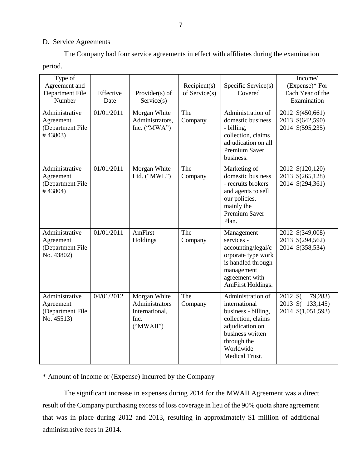### D. Service Agreements

The Company had four service agreements in effect with affiliates during the examination

period.

| Type of<br>Agreement and<br>Department File<br>Number         | Effective<br>Date | Provider(s) of<br>Service(s)                                          | Recipient(s)<br>of Service(s) | Specific Service(s)<br>Covered                                                                                                                                       | Income/<br>$(Express)*$ For<br>Each Year of the<br>Examination |
|---------------------------------------------------------------|-------------------|-----------------------------------------------------------------------|-------------------------------|----------------------------------------------------------------------------------------------------------------------------------------------------------------------|----------------------------------------------------------------|
| Administrative<br>Agreement<br>(Department File<br>#43803)    | 01/01/2011        | Morgan White<br>Administrators.<br>Inc. $("MWA")$                     | The<br>Company                | Administration of<br>domestic business<br>- billing,<br>collection, claims<br>adjudication on all<br>Premium Saver<br>business.                                      | 2012 \$(450,661)<br>2013 \$(642,590)<br>2014 \$(595,235)       |
| Administrative<br>Agreement<br>(Department File<br>#43804)    | 01/01/2011        | Morgan White<br>Ltd. ("MWL")                                          | The<br>Company                | Marketing of<br>domestic business<br>- recruits brokers<br>and agents to sell<br>our policies,<br>mainly the<br><b>Premium Saver</b><br>Plan.                        | 2012 \$(120,120)<br>2013 \$(265,128)<br>2014 \$(294,361)       |
| Administrative<br>Agreement<br>(Department File<br>No. 43802) | 01/01/2011        | AmFirst<br>Holdings                                                   | The<br>Company                | Management<br>services -<br>accounting/legal/c<br>orporate type work<br>is handled through<br>management<br>agreement with<br>AmFirst Holdings.                      | 2012 \$(349,008)<br>2013 \$(294,562)<br>2014 \$(358,534)       |
| Administrative<br>Agreement<br>(Department File<br>No. 45513) | 04/01/2012        | Morgan White<br>Administrators<br>International,<br>Inc.<br>("MWAII") | The<br>Company                | Administration of<br>international<br>business - billing,<br>collection, claims<br>adjudication on<br>business written<br>through the<br>Worldwide<br>Medical Trust. | 2012 \$<br>79,283)<br>2013 \$ (133,145)<br>2014 \$(1,051,593)  |

\* Amount of Income or (Expense) Incurred by the Company

 result of the Company purchasing excess of loss coverage in lieu of the 90% quota share agreement that was in place during 2012 and 2013, resulting in approximately \$1 million of additional The significant increase in expenses during 2014 for the MWAII Agreement was a direct administrative fees in 2014.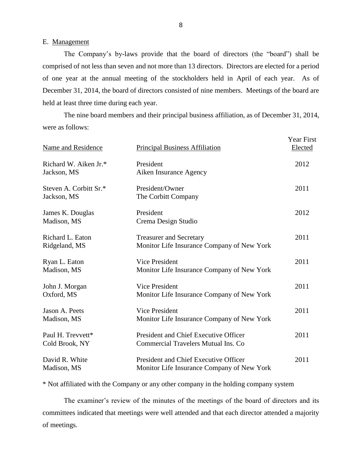#### <span id="page-10-0"></span>E. Management

 The Company's by-laws provide that the board of directors (the "board") shall be comprised of not less than seven and not more than 13 directors. Directors are elected for a period of one year at the annual meeting of the stockholders held in April of each year. As of December 31, 2014, the board of directors consisted of nine members. Meetings of the board are held at least three time during each year.

 were as follows: The nine board members and their principal business affiliation, as of December 31, 2014,

| Name and Residence                    | <b>Principal Business Affiliation</b>                                               | <b>Year First</b><br>Elected |
|---------------------------------------|-------------------------------------------------------------------------------------|------------------------------|
| Richard W. Aiken Jr.*<br>Jackson, MS  | President<br>Aiken Insurance Agency                                                 | 2012                         |
| Steven A. Corbitt Sr.*<br>Jackson, MS | President/Owner<br>The Corbitt Company                                              | 2011                         |
| James K. Douglas<br>Madison, MS       | President<br>Crema Design Studio                                                    | 2012                         |
| Richard L. Eaton<br>Ridgeland, MS     | <b>Treasurer and Secretary</b><br>Monitor Life Insurance Company of New York        | 2011                         |
| Ryan L. Eaton<br>Madison, MS          | <b>Vice President</b><br>Monitor Life Insurance Company of New York                 | 2011                         |
| John J. Morgan<br>Oxford, MS          | <b>Vice President</b><br>Monitor Life Insurance Company of New York                 | 2011                         |
| Jason A. Peets<br>Madison, MS         | <b>Vice President</b><br>Monitor Life Insurance Company of New York                 | 2011                         |
| Paul H. Trevvett*<br>Cold Brook, NY   | President and Chief Executive Officer<br><b>Commercial Travelers Mutual Ins. Co</b> | 2011                         |
| David R. White<br>Madison, MS         | President and Chief Executive Officer<br>Monitor Life Insurance Company of New York | 2011                         |

\* Not affiliated with the Company or any other company in the holding company system

 committees indicated that meetings were well attended and that each director attended a majority The examiner's review of the minutes of the meetings of the board of directors and its of meetings.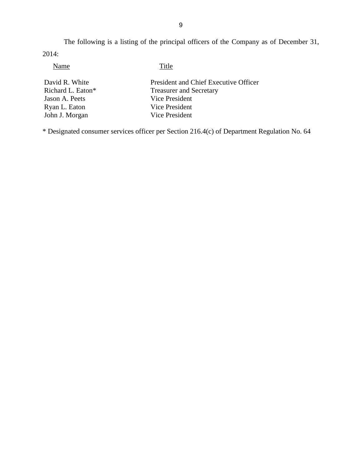The following is a listing of the principal officers of the Company as of December 31, 2014:

Name Title

David R. White President and Chief Executive Officer<br>Richard L. Eaton\* Treasurer and Secretary Treasurer and Secretary Jason A. Peets Vice President Ryan L. Eaton Vice President John J. Morgan Vice President

\* Designated consumer services officer per Section 216.4(c) of Department Regulation No. 64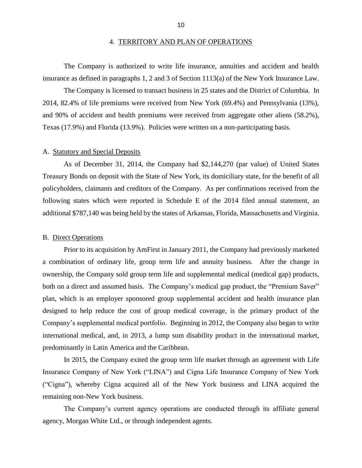#### 4. TERRITORY AND PLAN OF OPERATIONS

<span id="page-12-0"></span>The Company is authorized to write life insurance, annuities and accident and health insurance as defined in paragraphs 1, 2 and 3 of Section 1113(a) of the New York Insurance Law.

 2014, 82.4% of life premiums were received from New York (69.4%) and Pennsylvania (13%), and 90% of accident and health premiums were received from aggregate other aliens (58.2%), Texas (17.9%) and Florida (13.9%). Policies were written on a non-participating basis.<br>A. Statutory and Special Deposits The Company is licensed to transact business in 25 states and the District of Columbia. In

 As of December 31, 2014, the Company had \$2,144,270 (par value) of United States Treasury Bonds on deposit with the State of New York, its domiciliary state, for the benefit of all following states which were reported in Schedule E of the 2014 filed annual statement, an additional \$787,140 was being held by the states of Arkansas, Florida, Massachusetts and Virginia. policyholders, claimants and creditors of the Company. As per confirmations received from the

#### B. Direct Operations

 Prior to its acquisition by AmFirst in January 2011, the Company had previously marketed a combination of ordinary life, group term life and annuity business. After the change in ownership, the Company sold group term life and supplemental medical (medical gap) products, plan, which is an employer sponsored group supplemental accident and health insurance plan Company's supplemental medical portfolio. Beginning in 2012, the Company also began to write international medical, and, in 2013, a lump sum disability product in the international market, both on a direct and assumed basis. The Company's medical gap product, the "Premium Saver" designed to help reduce the cost of group medical coverage, is the primary product of the predominantly in Latin America and the Caribbean.

 In 2015, the Company exited the group term life market through an agreement with Life Insurance Company of New York ("LINA") and Cigna Life Insurance Company of New York ("Cigna"), whereby Cigna acquired all of the New York business and LINA acquired the remaining non-New York business.

 The Company's current agency operations are conducted through its affiliate general agency, Morgan White Ltd., or through independent agents.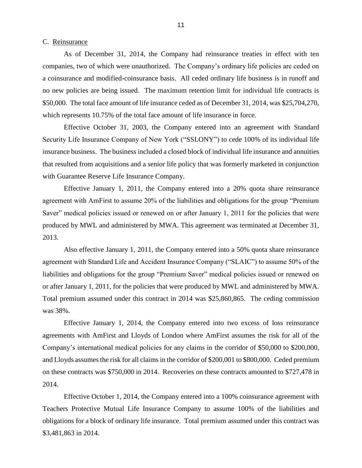#### <span id="page-13-0"></span>C. Reinsurance

 As of December 31, 2014, the Company had reinsurance treaties in effect with ten companies, two of which were unauthorized. The Company's ordinary life policies are ceded on a coinsurance and modified-coinsurance basis. All ceded ordinary life business is in runoff and no new policies are being issued. The maximum retention limit for individual life contracts is \$50,000. The total face amount of life insurance ceded as of December 31, 2014, was \$25,704,270, which represents 10.75% of the total face amount of life insurance in force.

 Effective October 31, 2003, the Company entered into an agreement with Standard Security Life Insurance Company of New York ("SSLONY") to cede 100% of its individual life insurance business. The business included a closed block of individual life insurance and annuities that resulted from acquisitions and a senior life policy that was formerly marketed in conjunction with Guarantee Reserve Life Insurance Company.

 Effective January 1, 2011, the Company entered into a 20% quota share reinsurance agreement with AmFirst to assume 20% of the liabilities and obligations for the group "Premium Saver" medical policies issued or renewed on or after January 1, 2011 for the policies that were produced by MWL and administered by MWA. This agreement was terminated at December 31, 2013.

 Also effective January 1, 2011, the Company entered into a 50% quota share reinsurance agreement with Standard Life and Accident Insurance Company ("SLAIC") to assume 50% of the or after January 1, 2011, for the policies that were produced by MWL and administered by MWA. Total premium assumed under this contract in 2014 was \$25,860,865. The ceding commission liabilities and obligations for the group "Premium Saver" medical policies issued or renewed on was 38%.

 Effective January 1, 2014, the Company entered into two excess of loss reinsurance agreements with AmFirst and Lloyds of London where AmFirst assumes the risk for all of the Company's international medical policies for any claims in the corridor of \$50,000 to \$200,000, and Lloyds assumes the risk for all claims in the corridor of \$200,001 to \$800,000. Ceded premium on these contracts was \$750,000 in 2014. Recoveries on these contracts amounted to \$727,478 in 2014.

 Teachers Protective Mutual Life Insurance Company to assume 100% of the liabilities and obligations for a block of ordinary life insurance. Total premium assumed under this contract was Effective October 1, 2014, the Company entered into a 100% coinsurance agreement with \$3,481,863 in 2014.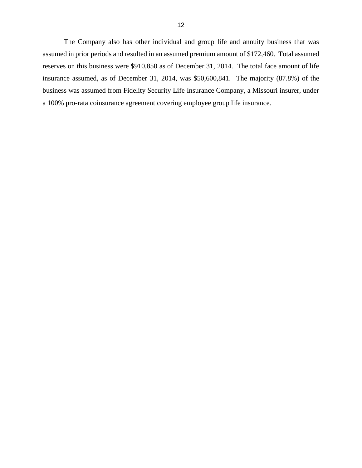The Company also has other individual and group life and annuity business that was reserves on this business were \$910,850 as of December 31, 2014. The total face amount of life insurance assumed, as of December 31, 2014, was \$50,600,841. The majority (87.8%) of the business was assumed from Fidelity Security Life Insurance Company, a Missouri insurer, under a 100% pro-rata coinsurance agreement covering employee group life insurance. assumed in prior periods and resulted in an assumed premium amount of \$172,460. Total assumed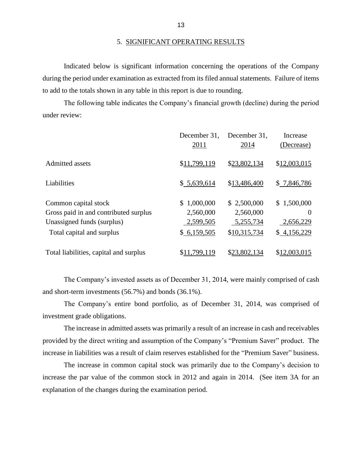during the period under examination as extracted from its filed annual statements. Failure of items Indicated below is significant information concerning the operations of the Company to add to the totals shown in any table in this report is due to rounding.

 The following table indicates the Company's financial growth (decline) during the period under review:

|                                        | December 31. | December 31, | Increase     |
|----------------------------------------|--------------|--------------|--------------|
|                                        | 2011         | 2014         | (Decrease)   |
| Admitted assets                        | \$11,799,119 | \$23,802,134 | \$12,003,015 |
| Liabilities                            | \$5,639,614  | \$13,486,400 | \$7,846,786  |
| Common capital stock                   | 1,000,000    | \$2,500,000  | \$1,500,000  |
| Gross paid in and contributed surplus  | 2,560,000    | 2,560,000    | $\Omega$     |
| Unassigned funds (surplus)             | 2,599,505    | 5,255,734    | 2,656,229    |
| Total capital and surplus              | \$6,159,505  | \$10,315,734 | \$4,156,229  |
| Total liabilities, capital and surplus | .799,119     | \$23,802,134 | \$12,003,015 |

 The Company's invested assets as of December 31, 2014, were mainly comprised of cash and short-term investments  $(56.7%)$  and bonds  $(36.1%)$ .

The Company's entire bond portfolio, as of December 31, 2014, was comprised of investment grade obligations.

 The increase in admitted assets was primarily a result of an increase in cash and receivables provided by the direct writing and assumption of the Company's "Premium Saver" product. The increase in liabilities was a result of claim reserves established for the "Premium Saver" business.

 The increase in common capital stock was primarily due to the Company's decision to increase the par value of the common stock in 2012 and again in 2014. (See item 3A for an explanation of the changes during the examination period.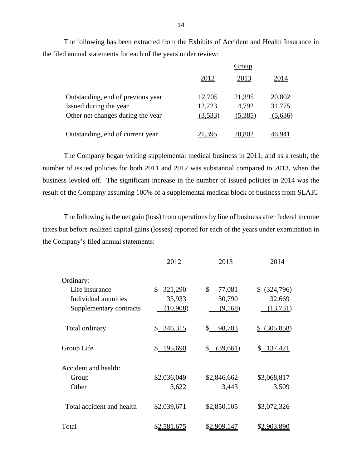The following has been extracted from the Exhibits of Accident and Health Insurance in the filed annual statements for each of the years under review:

|                                   | Group   |         |         |
|-----------------------------------|---------|---------|---------|
|                                   | 2012    | 2013    | 2014    |
| Outstanding, end of previous year | 12,705  | 21,395  | 20,802  |
| Issued during the year            | 12,223  | 4,792   | 31,775  |
| Other net changes during the year | (3,533) | (5,385) | (5,636) |
| Outstanding, end of current year  | 21,395  | 20,802  | 46.941  |

 The Company began writing supplemental medical business in 2011, and as a result, the number of issued policies for both 2011 and 2012 was substantial compared to 2013, when the business leveled off. The significant increase in the number of issued policies in 2014 was the result of the Company assuming 100% of a supplemental medical block of business from SLAIC

 The following is the net gain (loss) from operations by line of business after federal income taxes but before realized capital gains (losses) reported for each of the years under examination in the Company's filed annual statements:

|                           | 2012          | 2013           | 2014            |
|---------------------------|---------------|----------------|-----------------|
| Ordinary:                 |               |                |                 |
| Life insurance            | 321,290<br>\$ | \$<br>77,081   | \$ (324,796)    |
| Individual annuities      | 35,933        | 30,790         | 32,669          |
| Supplementary contracts   | (10,908)      | (9,168)        | (13, 731)       |
| Total ordinary            | \$346,315     | 98,703<br>\$   | (305, 858)<br>S |
| Group Life                | \$195,690     | \$<br>(39,661) | \$137,421       |
| Accident and health:      |               |                |                 |
| Group                     | \$2,036,049   | \$2,846,662    | \$3,068,817     |
| Other                     | 3,622         | 3,443          | 3,509           |
| Total accident and health | \$2,039,671   | \$2,850,105    | \$3,072,326     |
| Total                     | \$2,581,675   | \$2,909,147    | \$2,903,890     |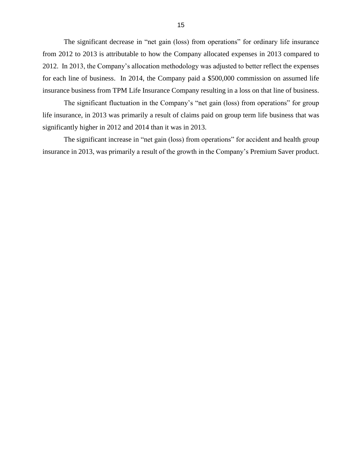The significant decrease in "net gain (loss) from operations" for ordinary life insurance 2012. In 2013, the Company's allocation methodology was adjusted to better reflect the expenses for each line of business. In 2014, the Company paid a \$500,000 commission on assumed life insurance business from TPM Life Insurance Company resulting in a loss on that line of business. from 2012 to 2013 is attributable to how the Company allocated expenses in 2013 compared to

 The significant fluctuation in the Company's "net gain (loss) from operations" for group life insurance, in 2013 was primarily a result of claims paid on group term life business that was significantly higher in 2012 and 2014 than it was in 2013.

 The significant increase in "net gain (loss) from operations" for accident and health group insurance in 2013, was primarily a result of the growth in the Company's Premium Saver product.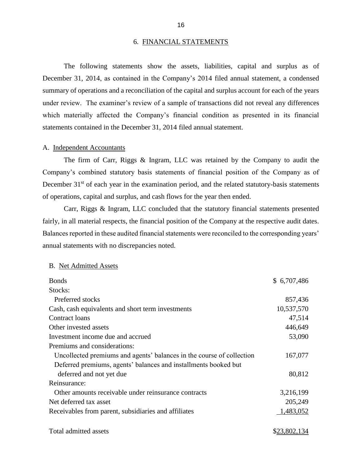#### 6. FINANCIAL STATEMENTS

 December 31, 2014, as contained in the Company's 2014 filed annual statement, a condensed summary of operations and a reconciliation of the capital and surplus account for each of the years under review. The examiner's review of a sample of transactions did not reveal any differences The following statements show the assets, liabilities, capital and surplus as of which materially affected the Company's financial condition as presented in its financial statements contained in the December 31, 2014 filed annual statement.

#### A. Independent Accountants

 Company's combined statutory basis statements of financial position of the Company as of The firm of Carr, Riggs & Ingram, LLC was retained by the Company to audit the December  $31<sup>st</sup>$  of each year in the examination period, and the related statutory-basis statements of operations, capital and surplus, and cash flows for the year then ended.

 Carr, Riggs & Ingram, LLC concluded that the statutory financial statements presented fairly, in all material respects, the financial position of the Company at the respective audit dates. Balances reported in these audited financial statements were reconciled to the corresponding years' annual statements with no discrepancies noted.

#### B. Net Admitted Assets

| <b>Bonds</b>                                                          | \$6,707,486 |
|-----------------------------------------------------------------------|-------------|
| Stocks:                                                               |             |
| Preferred stocks                                                      | 857,436     |
| Cash, cash equivalents and short term investments                     | 10,537,570  |
| Contract loans                                                        | 47,514      |
| Other invested assets                                                 | 446,649     |
| Investment income due and accrued                                     | 53,090      |
| Premiums and considerations:                                          |             |
| Uncollected premiums and agents' balances in the course of collection | 167,077     |
| Deferred premiums, agents' balances and installments booked but       |             |
| deferred and not yet due                                              | 80,812      |
| Reinsurance:                                                          |             |
| Other amounts receivable under reinsurance contracts                  | 3,216,199   |
| Net deferred tax asset                                                | 205,249     |
| Receivables from parent, subsidiaries and affiliates                  | 1,483,052   |
|                                                                       |             |

Total admitted assets  $$23,802,134$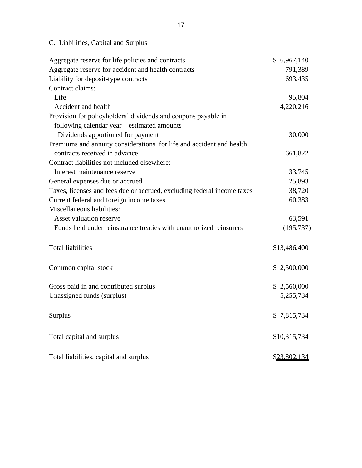# C. Liabilities, Capital and Surplus

| Aggregate reserve for life policies and contracts                       | \$6,967,140  |
|-------------------------------------------------------------------------|--------------|
| Aggregate reserve for accident and health contracts                     | 791,389      |
| Liability for deposit-type contracts                                    | 693,435      |
| Contract claims:                                                        |              |
| Life                                                                    | 95,804       |
| Accident and health                                                     | 4,220,216    |
| Provision for policyholders' dividends and coupons payable in           |              |
| following calendar year – estimated amounts                             |              |
| Dividends apportioned for payment                                       | 30,000       |
| Premiums and annuity considerations for life and accident and health    |              |
| contracts received in advance                                           | 661,822      |
| Contract liabilities not included elsewhere:                            |              |
| Interest maintenance reserve                                            | 33,745       |
| General expenses due or accrued                                         | 25,893       |
| Taxes, licenses and fees due or accrued, excluding federal income taxes | 38,720       |
| Current federal and foreign income taxes                                | 60,383       |
| Miscellaneous liabilities:                                              |              |
| Asset valuation reserve                                                 | 63,591       |
| Funds held under reinsurance treaties with unauthorized reinsurers      | (195, 737)   |
| <b>Total liabilities</b>                                                | \$13,486,400 |
| Common capital stock                                                    | \$2,500,000  |
|                                                                         |              |
| Gross paid in and contributed surplus                                   | \$2,560,000  |
| Unassigned funds (surplus)                                              | 5,255,734    |
| <b>Surplus</b>                                                          | \$7,815,734  |
| Total capital and surplus                                               | \$10,315,734 |
| Total liabilities, capital and surplus                                  | \$23,802,134 |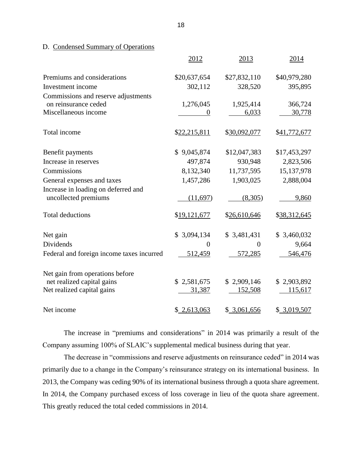D. Condensed Summary of Operations

|                                                             | 2012         | 2013         | 2014         |
|-------------------------------------------------------------|--------------|--------------|--------------|
| Premiums and considerations                                 | \$20,637,654 | \$27,832,110 | \$40,979,280 |
| Investment income                                           | 302,112      | 328,520      | 395,895      |
| Commissions and reserve adjustments                         |              |              |              |
| on reinsurance ceded                                        | 1,276,045    | 1,925,414    | 366,724      |
| Miscellaneous income                                        |              | 6,033        | 30,778       |
| Total income                                                | \$22,215,811 | \$30,092,077 | \$41,772,677 |
| Benefit payments                                            | \$9,045,874  | \$12,047,383 | \$17,453,297 |
| Increase in reserves                                        | 497,874      | 930,948      | 2,823,506    |
| Commissions                                                 | 8,132,340    | 11,737,595   | 15,137,978   |
| General expenses and taxes                                  | 1,457,286    | 1,903,025    | 2,888,004    |
| Increase in loading on deferred and<br>uncollected premiums | (11,697)     | (8,305)      | 9,860        |
| <b>Total deductions</b>                                     | \$19,121,677 | \$26,610,646 | \$38,312,645 |
| Net gain                                                    | \$3,094,134  | \$3,481,431  | \$3,460,032  |
| Dividends                                                   | $\theta$     | $\theta$     | 9,664        |
| Federal and foreign income taxes incurred                   | 512,459      | 572,285      | 546,476      |
| Net gain from operations before                             |              |              |              |
| net realized capital gains                                  | \$2,581,675  | \$2,909,146  | \$2,903,892  |
| Net realized capital gains                                  | 31,387       | 152,508      | 115,617      |
| Net income                                                  | \$2,613,063  | \$3,061,656  | \$3,019,507  |

 The increase in "premiums and considerations" in 2014 was primarily a result of the Company assuming 100% of SLAIC's supplemental medical business during that year.

 The decrease in "commissions and reserve adjustments on reinsurance ceded" in 2014 was primarily due to a change in the Company's reinsurance strategy on its international business. In 2013, the Company was ceding 90% of its international business through a quota share agreement. In 2014, the Company purchased excess of loss coverage in lieu of the quota share agreement. This greatly reduced the total ceded commissions in 2014.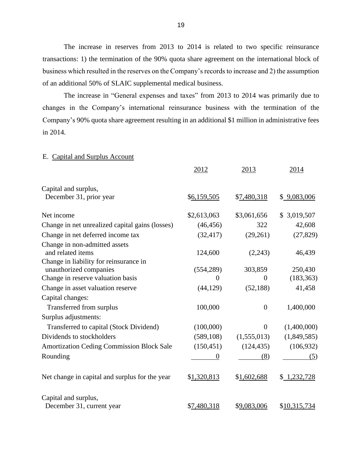<span id="page-21-0"></span> The increase in reserves from 2013 to 2014 is related to two specific reinsurance transactions: 1) the termination of the 90% quota share agreement on the international block of business which resulted in the reserves on the Company's records to increase and 2) the assumption of an additional 50% of SLAIC supplemental medical business.

 The increase in "General expenses and taxes" from 2013 to 2014 was primarily due to Company's 90% quota share agreement resulting in an additional \$1 million in administrative fees changes in the Company's international reinsurance business with the termination of the in 2014.

#### E. Capital and Surplus Account

|                                                                  | 2012           | 2013             | 2014         |
|------------------------------------------------------------------|----------------|------------------|--------------|
| Capital and surplus,                                             |                |                  |              |
| December 31, prior year                                          | \$6,159,505    | \$7,480,318      | \$9,083,006  |
| Net income                                                       | \$2,613,063    | \$3,061,656      | \$3,019,507  |
| Change in net unrealized capital gains (losses)                  | (46, 456)      | 322              | 42,608       |
| Change in net deferred income tax                                | (32, 417)      | (29,261)         | (27, 829)    |
| Change in non-admitted assets<br>and related items               | 124,600        | (2,243)          | 46,439       |
| Change in liability for reinsurance in<br>unauthorized companies | (554, 289)     | 303,859          | 250,430      |
| Change in reserve valuation basis                                | $\overline{0}$ | $\overline{0}$   | (183, 363)   |
| Change in asset valuation reserve                                | (44, 129)      | (52, 188)        | 41,458       |
| Capital changes:                                                 |                |                  |              |
| Transferred from surplus                                         | 100,000        | $\theta$         | 1,400,000    |
| Surplus adjustments:                                             |                |                  |              |
| Transferred to capital (Stock Dividend)                          | (100,000)      | $\boldsymbol{0}$ | (1,400,000)  |
| Dividends to stockholders                                        | (589, 108)     | (1,555,013)      | (1,849,585)  |
| <b>Amortization Ceding Commission Block Sale</b>                 | (150, 451)     | (124, 435)       | (106, 932)   |
| Rounding                                                         | $\theta$       | (8)              | (5)          |
| Net change in capital and surplus for the year                   | \$1,320,813    | \$1,602,688      | \$1,232,728  |
| Capital and surplus,                                             |                |                  |              |
| December 31, current year                                        | \$7,480,318    | \$9,083,006      | \$10,315,734 |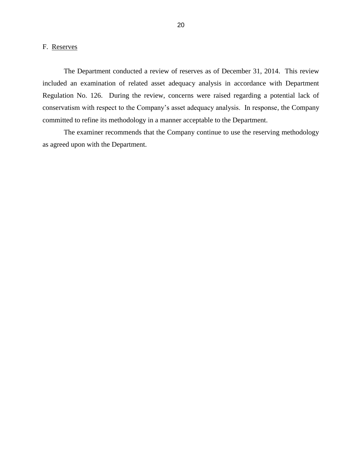## <span id="page-22-0"></span>F. Reserves

 included an examination of related asset adequacy analysis in accordance with Department Regulation No. 126. During the review, concerns were raised regarding a potential lack of conservatism with respect to the Company's asset adequacy analysis. In response, the Company The Department conducted a review of reserves as of December 31, 2014. This review committed to refine its methodology in a manner acceptable to the Department.

 The examiner recommends that the Company continue to use the reserving methodology as agreed upon with the Department.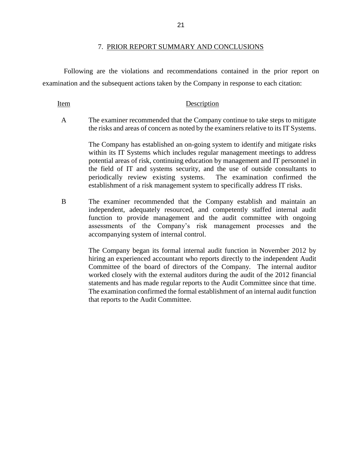#### 7. PRIOR REPORT SUMMARY AND CONCLUSIONS

<span id="page-23-0"></span> Following are the violations and recommendations contained in the prior report on examination and the subsequent actions taken by the Company in response to each citation:

Item Description

 A The examiner recommended that the Company continue to take steps to mitigate the risks and areas of concern as noted by the examiners relative to its IT Systems.

> The Company has established an on-going system to identify and mitigate risks the field of IT and systems security, and the use of outside consultants to periodically review existing systems. The examination confirmed the within its IT Systems which includes regular management meetings to address potential areas of risk, continuing education by management and IT personnel in establishment of a risk management system to specifically address IT risks.

 B The examiner recommended that the Company establish and maintain an function to provide management and the audit committee with ongoing independent, adequately resourced, and competently staffed internal audit assessments of the Company's risk management processes and the accompanying system of internal control.

> The Company began its formal internal audit function in November 2012 by worked closely with the external auditors during the audit of the 2012 financial statements and has made regular reports to the Audit Committee since that time. The examination confirmed the formal establishment of an internal audit function hiring an experienced accountant who reports directly to the independent Audit Committee of the board of directors of the Company. The internal auditor that reports to the Audit Committee.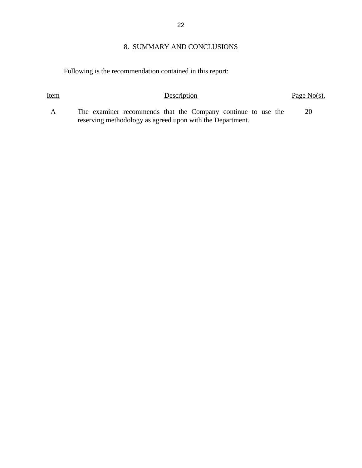# 8. SUMMARY AND CONCLUSIONS

<span id="page-24-0"></span>Following is the recommendation contained in this report:

| <u>Item</u>  | Description                                                                                                               | Page $No(s)$ . |
|--------------|---------------------------------------------------------------------------------------------------------------------------|----------------|
| $\mathsf{A}$ | The examiner recommends that the Company continue to use the<br>reserving methodology as agreed upon with the Department. | 20             |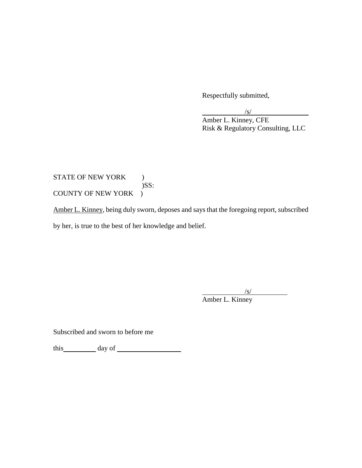Respectfully submitted,

/s/

Amber L. Kinney, CFE Risk & Regulatory Consulting, LLC

## COUNTY OF NEW YORK ) STATE OF NEW YORK ) )SS:

COUNTY OF NEW YORK )<br>Amber L. Kinney, being duly sworn, deposes and says that the foregoing report, subscribed by her, is true to the best of her knowledge and belief.

/s/

Amber L. Kinney

Subscribed and sworn to before me

this day of